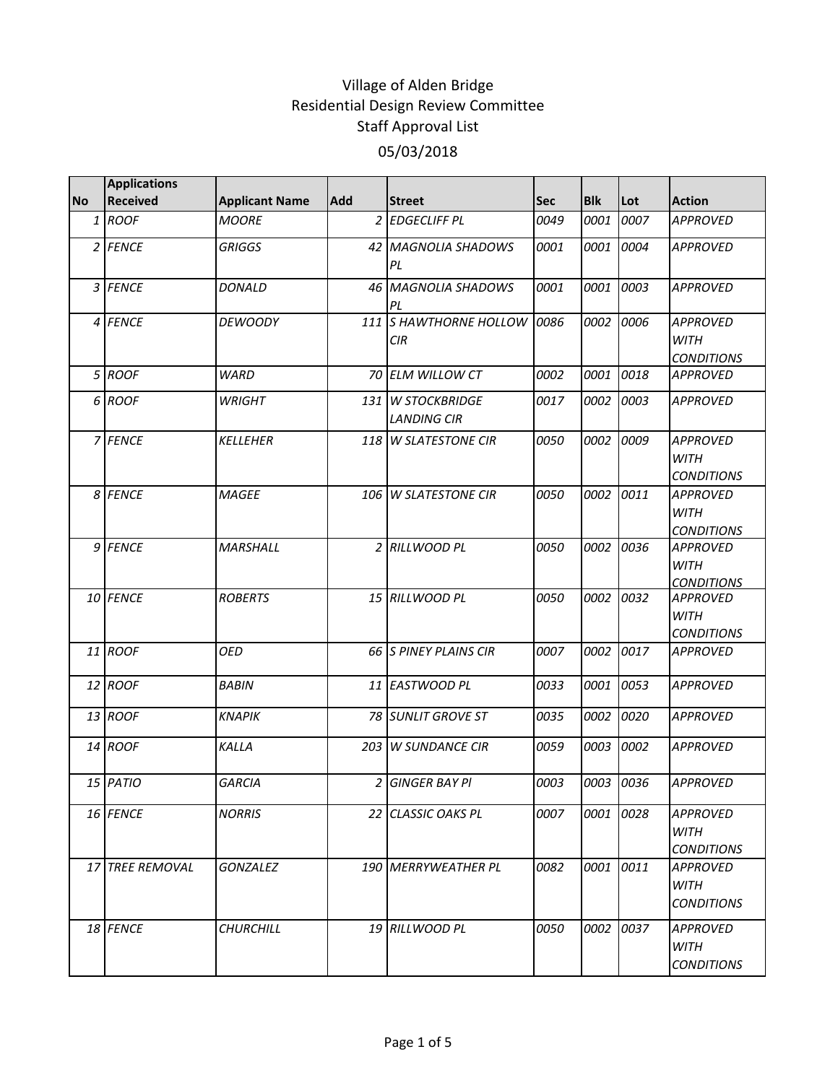|           | <b>Applications</b> |                       |     |                                            |      |            |           |                                                     |
|-----------|---------------------|-----------------------|-----|--------------------------------------------|------|------------|-----------|-----------------------------------------------------|
| <b>No</b> | <b>Received</b>     | <b>Applicant Name</b> | Add | <b>Street</b>                              | Sec  | <b>Blk</b> | Lot       | <b>Action</b>                                       |
|           | 1 ROOF              | <b>MOORE</b>          |     | 2 EDGECLIFF PL                             | 0049 | 0001       | 0007      | <b>APPROVED</b>                                     |
|           | 2 FENCE             | <b>GRIGGS</b>         |     | 42 MAGNOLIA SHADOWS<br>PL                  | 0001 | 0001       | 0004      | <b>APPROVED</b>                                     |
|           | 3 FENCE             | <b>DONALD</b>         |     | 46 MAGNOLIA SHADOWS<br>PL                  | 0001 | 0001       | 0003      | <b>APPROVED</b>                                     |
|           | 4 FENCE             | <b>DEWOODY</b>        |     | 111 S HAWTHORNE HOLLOW<br>CIR              | 0086 | 0002       | 0006      | <b>APPROVED</b><br><b>WITH</b><br><b>CONDITIONS</b> |
|           | 5 ROOF              | <b>WARD</b>           |     | 70 ELM WILLOW CT                           | 0002 | 0001       | 0018      | <b>APPROVED</b>                                     |
|           | 6 ROOF              | <b>WRIGHT</b>         | 131 | <b>W STOCKBRIDGE</b><br><b>LANDING CIR</b> | 0017 | 0002       | 0003      | <b>APPROVED</b>                                     |
|           | 7 FENCE             | <b>KELLEHER</b>       |     | 118 W SLATESTONE CIR                       | 0050 | 0002       | 0009      | <b>APPROVED</b><br><b>WITH</b><br><b>CONDITIONS</b> |
|           | 8 FENCE             | <b>MAGEE</b>          |     | 106 W SLATESTONE CIR                       | 0050 | 0002       | 0011      | <b>APPROVED</b><br><b>WITH</b><br><b>CONDITIONS</b> |
|           | 9 FENCE             | MARSHALL              |     | 2 RILLWOOD PL                              | 0050 | 0002       | 0036      | <b>APPROVED</b><br><b>WITH</b><br><b>CONDITIONS</b> |
|           | 10 FENCE            | <b>ROBERTS</b>        |     | 15 RILLWOOD PL                             | 0050 | 0002       | 0032      | <b>APPROVED</b><br><b>WITH</b><br><b>CONDITIONS</b> |
|           | 11 ROOF             | <b>OED</b>            |     | 66 IS PINEY PLAINS CIR                     | 0007 | 0002       | 0017      | <b>APPROVED</b>                                     |
|           | 12 ROOF             | <b>BABIN</b>          |     | 11 EASTWOOD PL                             | 0033 | 0001       | 0053      | <b>APPROVED</b>                                     |
|           | 13 ROOF             | <b>KNAPIK</b>         |     | 78 SUNLIT GROVE ST                         | 0035 | 0002       | 0020      | <b>APPROVED</b>                                     |
|           | 14 ROOF             | KALLA                 |     | 203 W SUNDANCE CIR                         | 0059 | 0003       | 0002      | <b>APPROVED</b>                                     |
|           | 15 PATIO            | <b>GARCIA</b>         |     | 2 GINGER BAY PI                            | 0003 |            | 0003 0036 | <b>APPROVED</b>                                     |
|           | 16 FENCE            | <b>NORRIS</b>         |     | 22 CLASSIC OAKS PL                         | 0007 |            | 0001 0028 | <b>APPROVED</b><br><b>WITH</b><br><b>CONDITIONS</b> |
|           | 17 TREE REMOVAL     | <b>GONZALEZ</b>       |     | <b>190 MERRYWEATHER PL</b>                 | 0082 | 0001       | 0011      | APPROVED<br><b>WITH</b><br><b>CONDITIONS</b>        |
|           | 18 FENCE            | <b>CHURCHILL</b>      |     | 19 RILLWOOD PL                             | 0050 | 0002       | 0037      | <b>APPROVED</b><br><b>WITH</b><br><b>CONDITIONS</b> |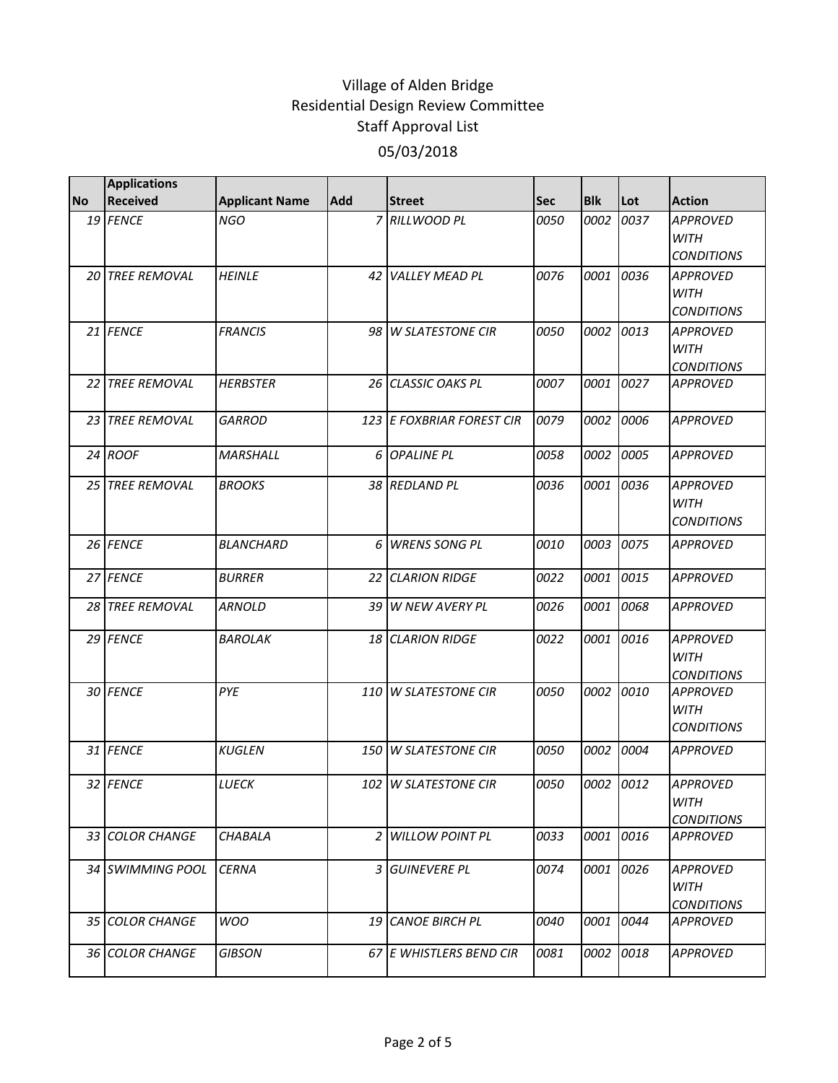|           | <b>Applications</b>    |                       |     |                           |            |            |           |                                                     |
|-----------|------------------------|-----------------------|-----|---------------------------|------------|------------|-----------|-----------------------------------------------------|
| <b>No</b> | <b>Received</b>        | <b>Applicant Name</b> | Add | <b>Street</b>             | <b>Sec</b> | <b>Blk</b> | Lot       | <b>Action</b>                                       |
|           | 19 FENCE               | <b>NGO</b>            |     | 7 RILLWOOD PL             | 0050       | 0002       | 0037      | <b>APPROVED</b><br><b>WITH</b><br><b>CONDITIONS</b> |
|           | 20 TREE REMOVAL        | <b>HEINLE</b>         |     | 42 VALLEY MEAD PL         | 0076       | 0001       | 0036      | <b>APPROVED</b><br><b>WITH</b><br><b>CONDITIONS</b> |
|           | 21 FENCE               | <b>FRANCIS</b>        |     | 98 W SLATESTONE CIR       | 0050       | 0002       | 0013      | <b>APPROVED</b><br><b>WITH</b><br><b>CONDITIONS</b> |
|           | 22 TREE REMOVAL        | <b>HERBSTER</b>       |     | 26 CLASSIC OAKS PL        | 0007       | 0001       | 0027      | <b>APPROVED</b>                                     |
|           | <b>23 TREE REMOVAL</b> | <b>GARROD</b>         |     | 123 E FOXBRIAR FOREST CIR | 0079       | 0002       | 0006      | <b>APPROVED</b>                                     |
|           | 24 ROOF                | <b>MARSHALL</b>       |     | 6 OPALINE PL              | 0058       | 0002       | 0005      | <b>APPROVED</b>                                     |
|           | 25 TREE REMOVAL        | <b>BROOKS</b>         |     | 38 REDLAND PL             | 0036       | 0001       | 0036      | <b>APPROVED</b><br><b>WITH</b><br><b>CONDITIONS</b> |
|           | 26 FENCE               | <b>BLANCHARD</b>      | 6   | <b>WRENS SONG PL</b>      | 0010       | 0003       | 0075      | <b>APPROVED</b>                                     |
|           | 27 FENCE               | <b>BURRER</b>         |     | 22 CLARION RIDGE          | 0022       | 0001       | 0015      | <b>APPROVED</b>                                     |
| 28 I      | <b>TREE REMOVAL</b>    | <b>ARNOLD</b>         | 39  | <b>W NEW AVERY PL</b>     | 0026       | 0001       | 0068      | <b>APPROVED</b>                                     |
|           | 29 FENCE               | <i><b>BAROLAK</b></i> |     | 18 CLARION RIDGE          | 0022       | 0001       | 0016      | <b>APPROVED</b><br><b>WITH</b><br><b>CONDITIONS</b> |
|           | 30 FENCE               | PYE                   | 110 | <b>W SLATESTONE CIR</b>   | 0050       | 0002       | 0010      | <b>APPROVED</b><br><b>WITH</b><br><b>CONDITIONS</b> |
|           | 31 FENCE               | <b>KUGLEN</b>         | 150 | <b>W SLATESTONE CIR</b>   | 0050       | 0002       | 0004      | <b>APPROVED</b>                                     |
|           | 32 FENCE               | LUECK                 |     | 102 W SLATESTONE CIR      | 0050       |            | 0002 0012 | <b>APPROVED</b><br><b>WITH</b><br><b>CONDITIONS</b> |
|           | 33 COLOR CHANGE        | CHABALA               | 2   | <b>WILLOW POINT PL</b>    | 0033       | 0001       | 0016      | <b>APPROVED</b>                                     |
|           | 34 SWIMMING POOL       | <b>CERNA</b>          | 3   | <b>GUINEVERE PL</b>       | 0074       | 0001       | 0026      | <b>APPROVED</b><br><b>WITH</b><br><b>CONDITIONS</b> |
|           | 35 COLOR CHANGE        | <b>WOO</b>            |     | 19 CANOE BIRCH PL         | 0040       | 0001       | 0044      | <b>APPROVED</b>                                     |
|           | 36 COLOR CHANGE        | <b>GIBSON</b>         |     | 67 E WHISTLERS BEND CIR   | 0081       | 0002       | 0018      | <b>APPROVED</b>                                     |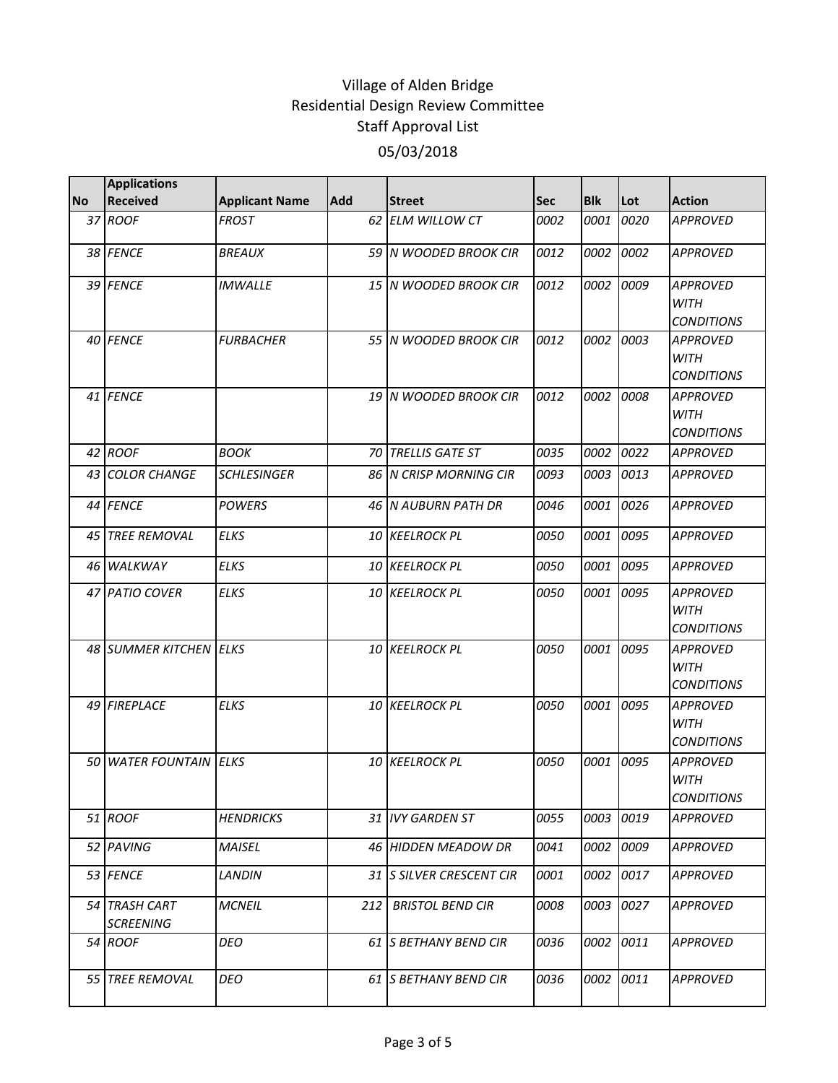|           | <b>Applications</b>               |                       |     |                                |            |            |      |                                                     |
|-----------|-----------------------------------|-----------------------|-----|--------------------------------|------------|------------|------|-----------------------------------------------------|
| <b>No</b> | <b>Received</b>                   | <b>Applicant Name</b> | Add | <b>Street</b>                  | <b>Sec</b> | <b>Blk</b> | Lot  | <b>Action</b>                                       |
|           | 37 ROOF                           | FROST                 |     | 62 ELM WILLOW CT               | 0002       | 0001       | 0020 | <b>APPROVED</b>                                     |
|           | 38 FENCE                          | <i>BREAUX</i>         |     | 59 N WOODED BROOK CIR          | 0012       | 0002       | 0002 | <b>APPROVED</b>                                     |
|           | 39 FENCE                          | <b>IMWALLE</b>        |     | 15 N WOODED BROOK CIR          | 0012       | 0002       | 0009 | <b>APPROVED</b><br><b>WITH</b><br><b>CONDITIONS</b> |
|           | 40 FENCE                          | <b>FURBACHER</b>      |     | 55 N WOODED BROOK CIR          | 0012       | 0002       | 0003 | <b>APPROVED</b><br><b>WITH</b><br><b>CONDITIONS</b> |
|           | 41 FENCE                          |                       |     | 19 N WOODED BROOK CIR          | 0012       | 0002       | 0008 | <b>APPROVED</b><br><b>WITH</b><br><b>CONDITIONS</b> |
|           | 42 ROOF                           | <b>BOOK</b>           |     | 70 TRELLIS GATE ST             | 0035       | 0002       | 0022 | <b>APPROVED</b>                                     |
|           | 43 COLOR CHANGE                   | <b>SCHLESINGER</b>    |     | <b>86 IN CRISP MORNING CIR</b> | 0093       | 0003       | 0013 | APPROVED                                            |
|           | 44 FENCE                          | <b>POWERS</b>         |     | 46 N AUBURN PATH DR            | 0046       | 0001       | 0026 | <b>APPROVED</b>                                     |
|           | 45 TREE REMOVAL                   | <b>ELKS</b>           |     | 10 KEELROCK PL                 | 0050       | 0001       | 0095 | <b>APPROVED</b>                                     |
|           | 46 WALKWAY                        | <b>ELKS</b>           |     | 10 KEELROCK PL                 | 0050       | 0001       | 0095 | <b>APPROVED</b>                                     |
|           | 47 PATIO COVER                    | <b>ELKS</b>           |     | 10 KEELROCK PL                 | 0050       | 0001       | 0095 | <b>APPROVED</b><br><b>WITH</b><br><b>CONDITIONS</b> |
|           | 48 SUMMER KITCHEN ELKS            |                       |     | 10 KEELROCK PL                 | 0050       | 0001       | 0095 | <b>APPROVED</b><br><b>WITH</b><br><b>CONDITIONS</b> |
|           | 49 FIREPLACE                      | <b>ELKS</b>           |     | 10 KEELROCK PL                 | 0050       | 0001       | 0095 | <b>APPROVED</b><br><b>WITH</b><br><b>CONDITIONS</b> |
|           | <b>50 WATER FOUNTAIN LELKS</b>    |                       |     | <b>10 KEELROCK PL</b>          | 0050       | 0001       | 0095 | APPROVED<br><b>WITH</b><br><b>CONDITIONS</b>        |
|           | 51 ROOF                           | <b>HENDRICKS</b>      |     | 31 IVY GARDEN ST               | 0055       | 0003       | 0019 | APPROVED                                            |
|           | 52 PAVING                         | <b>MAISEL</b>         |     | 46 HIDDEN MEADOW DR            | 0041       | 0002       | 0009 | APPROVED                                            |
|           | 53 FENCE                          | LANDIN                |     | 31 S SILVER CRESCENT CIR       | 0001       | 0002       | 0017 | APPROVED                                            |
|           | 54 TRASH CART<br><b>SCREENING</b> | <b>MCNEIL</b>         | 212 | <b>BRISTOL BEND CIR</b>        | 0008       | 0003       | 0027 | APPROVED                                            |
|           | 54 ROOF                           | DEO                   |     | 61 IS BETHANY BEND CIR         | 0036       | 0002       | 0011 | APPROVED                                            |
|           | 55 TREE REMOVAL                   | <b>DEO</b>            |     | 61 S BETHANY BEND CIR          | 0036       | 0002       | 0011 | APPROVED                                            |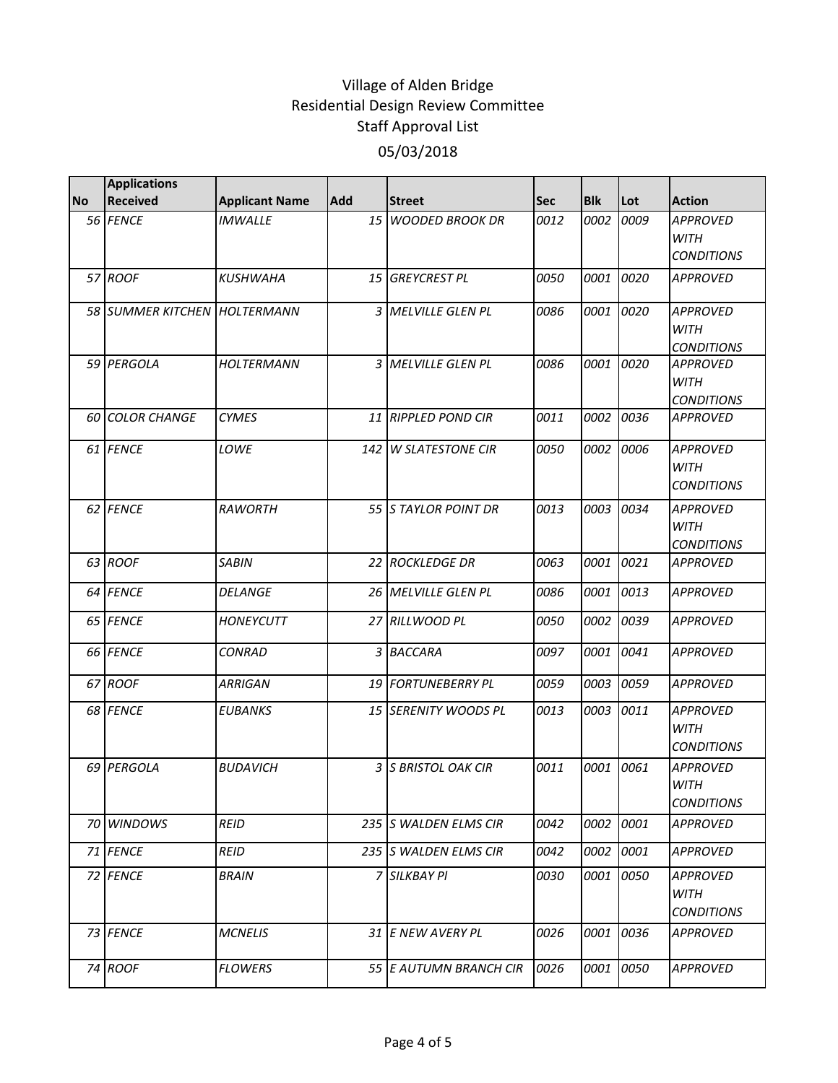|           | <b>Applications</b>          |                       |     |                        |            |            |      |                                                     |
|-----------|------------------------------|-----------------------|-----|------------------------|------------|------------|------|-----------------------------------------------------|
| <b>No</b> | <b>Received</b>              | <b>Applicant Name</b> | Add | <b>Street</b>          | <b>Sec</b> | <b>Blk</b> | Lot  | <b>Action</b>                                       |
|           | 56 FENCE                     | <b>IMWALLE</b>        | 15  | <b>WOODED BROOK DR</b> | 0012       | 0002       | 0009 | <b>APPROVED</b><br><b>WITH</b><br><b>CONDITIONS</b> |
|           | 57 ROOF                      | <b>KUSHWAHA</b>       | 15  | <b>GREYCREST PL</b>    | 0050       | 0001       | 0020 | <b>APPROVED</b>                                     |
|           | 58 SUMMER KITCHEN HOLTERMANN |                       |     | 3 MELVILLE GLEN PL     | 0086       | 0001       | 0020 | <b>APPROVED</b><br><b>WITH</b><br><b>CONDITIONS</b> |
|           | 59 PERGOLA                   | <b>HOLTERMANN</b>     |     | 3 MELVILLE GLEN PL     | 0086       | 0001       | 0020 | <b>APPROVED</b><br><b>WITH</b><br><b>CONDITIONS</b> |
|           | <b>60 COLOR CHANGE</b>       | <b>CYMES</b>          |     | 11 RIPPLED POND CIR    | 0011       | 0002       | 0036 | APPROVED                                            |
|           | 61 FENCE                     | LOWE                  |     | 142 W SLATESTONE CIR   | 0050       | 0002       | 0006 | <b>APPROVED</b><br><b>WITH</b><br><b>CONDITIONS</b> |
|           | 62 FENCE                     | RAWORTH               |     | 55 IS TAYLOR POINT DR  | 0013       | 0003       | 0034 | <b>APPROVED</b><br><b>WITH</b><br><b>CONDITIONS</b> |
|           | 63 ROOF                      | <b>SABIN</b>          |     | 22 ROCKLEDGE DR        | 0063       | 0001       | 0021 | <b>APPROVED</b>                                     |
|           | 64 FENCE                     | <i>DELANGE</i>        |     | 26 MELVILLE GLEN PL    | 0086       | 0001       | 0013 | <b>APPROVED</b>                                     |
|           | 65 FENCE                     | <b>HONEYCUTT</b>      |     | 27 RILLWOOD PL         | 0050       | 0002       | 0039 | <b>APPROVED</b>                                     |
|           | 66 FENCE                     | <b>CONRAD</b>         |     | 3 BACCARA              | 0097       | 0001       | 0041 | <b>APPROVED</b>                                     |
|           | 67 ROOF                      | <b>ARRIGAN</b>        |     | 19 FORTUNEBERRY PL     | 0059       | 0003       | 0059 | <b>APPROVED</b>                                     |
|           | 68 FENCE                     | <b>EUBANKS</b>        |     | 15 SERENITY WOODS PL   | 0013       | 0003       | 0011 | <b>APPROVED</b><br><b>WITH</b><br><b>CONDITIONS</b> |
|           | 69 PERGOLA                   | <b>BUDAVICH</b>       |     | 3 S BRISTOL OAK CIR    | 0011       | 0001       | 0061 | <b>APPROVED</b><br><b>WITH</b><br><b>CONDITIONS</b> |
|           | 70 WINDOWS                   | <b>REID</b>           |     | 235 S WALDEN ELMS CIR  | 0042       | 0002       | 0001 | <b>APPROVED</b>                                     |
|           | 71 FENCE                     | <b>REID</b>           |     | 235 S WALDEN ELMS CIR  | 0042       | 0002       | 0001 | <b>APPROVED</b>                                     |
|           | 72 FENCE                     | <b>BRAIN</b>          |     | 7 SILKBAY PI           | 0030       | 0001       | 0050 | APPROVED<br><b>WITH</b><br><b>CONDITIONS</b>        |
|           | 73 FENCE                     | <b>MCNELIS</b>        |     | 31 E NEW AVERY PL      | 0026       | 0001       | 0036 | APPROVED                                            |
|           | 74 ROOF                      | <b>FLOWERS</b>        |     | 55 E AUTUMN BRANCH CIR | 0026       | 0001       | 0050 | <b>APPROVED</b>                                     |